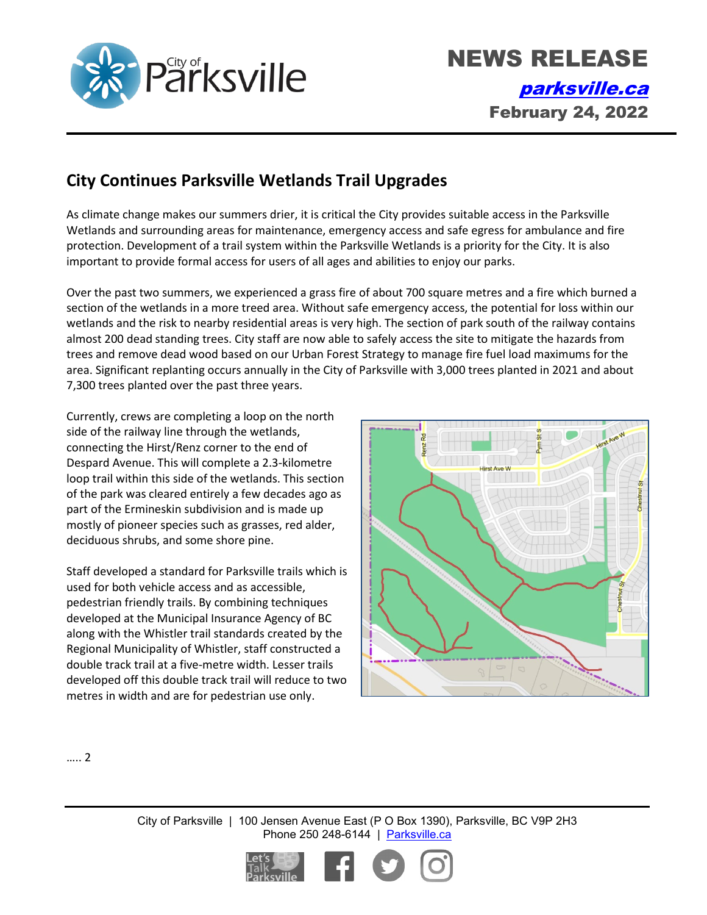

## **City Continues Parksville Wetlands Trail Upgrades**

As climate change makes our summers drier, it is critical the City provides suitable access in the Parksville Wetlands and surrounding areas for maintenance, emergency access and safe egress for ambulance and fire protection. Development of a trail system within the Parksville Wetlands is a priority for the City. It is also important to provide formal access for users of all ages and abilities to enjoy our parks.

Over the past two summers, we experienced a grass fire of about 700 square metres and a fire which burned a section of the wetlands in a more treed area. Without safe emergency access, the potential for loss within our wetlands and the risk to nearby residential areas is very high. The section of park south of the railway contains almost 200 dead standing trees. City staff are now able to safely access the site to mitigate the hazards from trees and remove dead wood based on our Urban Forest Strategy to manage fire fuel load maximums for the area. Significant replanting occurs annually in the City of Parksville with 3,000 trees planted in 2021 and about 7,300 trees planted over the past three years.

Currently, crews are completing a loop on the north side of the railway line through the wetlands, connecting the Hirst/Renz corner to the end of Despard Avenue. This will complete a 2.3-kilometre loop trail within this side of the wetlands. This section of the park was cleared entirely a few decades ago as part of the Ermineskin subdivision and is made up mostly of pioneer species such as grasses, red alder, deciduous shrubs, and some shore pine.

Staff developed a standard for Parksville trails which is used for both vehicle access and as accessible, pedestrian friendly trails. By combining techniques developed at the Municipal Insurance Agency of BC along with the Whistler trail standards created by the Regional Municipality of Whistler, staff constructed a double track trail at a five-metre width. Lesser trails developed off this double track trail will reduce to two metres in width and are for pedestrian use only.



….. 2

City of Parksville | 100 Jensen Avenue East (P O Box 1390), Parksville, BC V9P 2H3 Phone 250 248-6144 | [Parksville.ca](http://www.parksville.ca/)